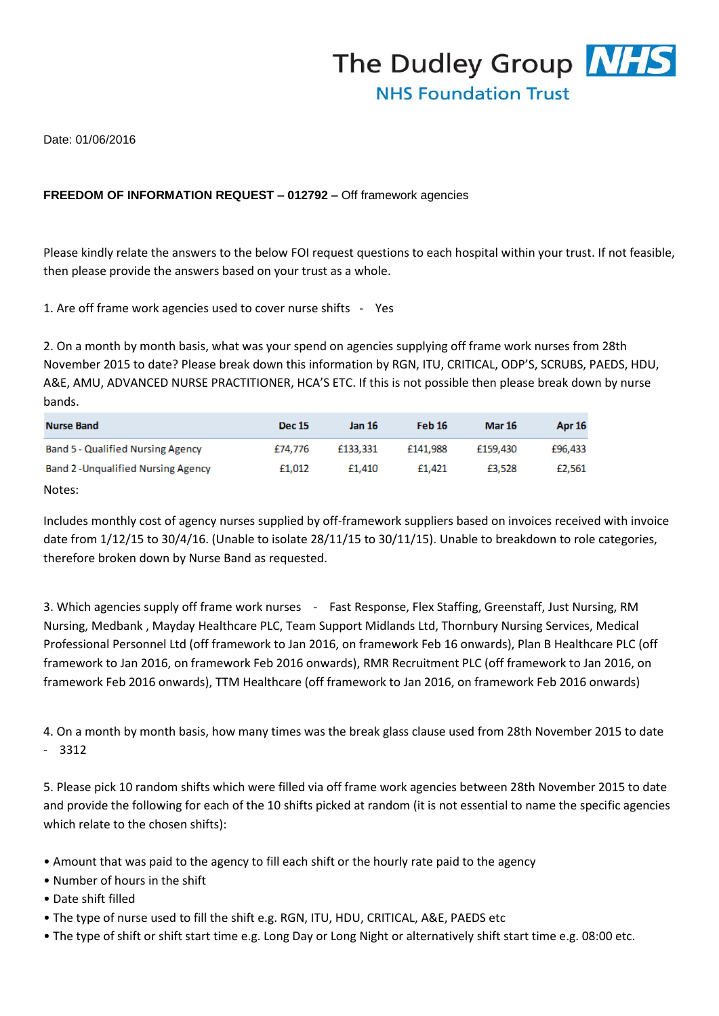

Date: 01/06/2016

## **FREEDOM OF INFORMATION REQUEST – 012792 –** Off framework agencies

Please kindly relate the answers to the below FOI request questions to each hospital within your trust. If not feasible, then please provide the answers based on your trust as a whole.

1. Are off frame work agencies used to cover nurse shifts - Yes

2. On a month by month basis, what was your spend on agencies supplying off frame work nurses from 28th November 2015 to date? Please break down this information by RGN, ITU, CRITICAL, ODP'S, SCRUBS, PAEDS, HDU, A&E, AMU, ADVANCED NURSE PRACTITIONER, HCA'S ETC. If this is not possible then please break down by nurse bands.

| <b>Nurse Band</b>                          | <b>Dec 15</b> | <b>Jan 16</b> | Feb 16   | <b>Mar 16</b> | Apr 16  |
|--------------------------------------------|---------------|---------------|----------|---------------|---------|
| <b>Band 5 - Qualified Nursing Agency</b>   | £74.776       | £133,331      | £141.988 | £159,430      | £96,433 |
| <b>Band 2 - Unqualified Nursing Agency</b> | £1.012        | £1,410        | £1.421   | £3.528        | £2.561  |

Notes:

Includes monthly cost of agency nurses supplied by off-framework suppliers based on invoices received with invoice date from 1/12/15 to 30/4/16. (Unable to isolate 28/11/15 to 30/11/15). Unable to breakdown to role categories, therefore broken down by Nurse Band as requested.

3. Which agencies supply off frame work nurses - Fast Response, Flex Staffing, Greenstaff, Just Nursing, RM Nursing, Medbank , Mayday Healthcare PLC, Team Support Midlands Ltd, Thornbury Nursing Services, Medical Professional Personnel Ltd (off framework to Jan 2016, on framework Feb 16 onwards), Plan B Healthcare PLC (off framework to Jan 2016, on framework Feb 2016 onwards), RMR Recruitment PLC (off framework to Jan 2016, on framework Feb 2016 onwards), TTM Healthcare (off framework to Jan 2016, on framework Feb 2016 onwards)

4. On a month by month basis, how many times was the break glass clause used from 28th November 2015 to date - 3312

5. Please pick 10 random shifts which were filled via off frame work agencies between 28th November 2015 to date and provide the following for each of the 10 shifts picked at random (it is not essential to name the specific agencies which relate to the chosen shifts):

- Amount that was paid to the agency to fill each shift or the hourly rate paid to the agency
- Number of hours in the shift
- Date shift filled
- The type of nurse used to fill the shift e.g. RGN, ITU, HDU, CRITICAL, A&E, PAEDS etc
- The type of shift or shift start time e.g. Long Day or Long Night or alternatively shift start time e.g. 08:00 etc.